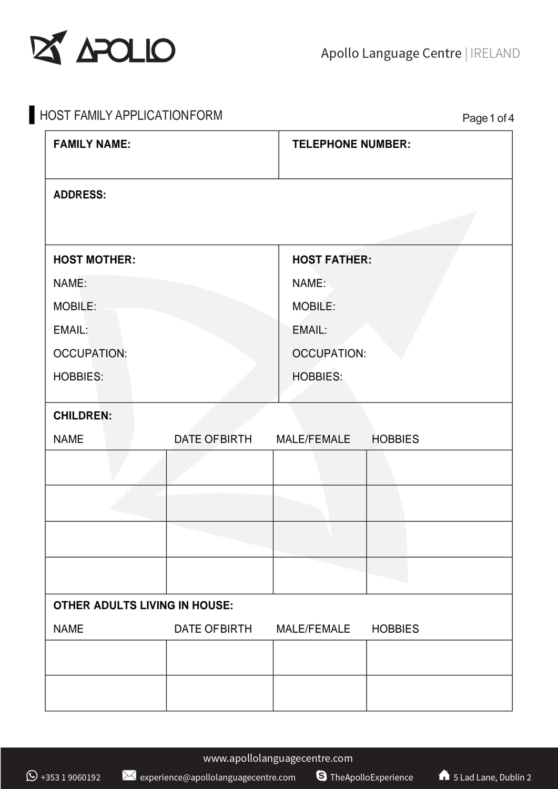

| HOST FAMILY APPLICATIONFORM          | Page 1 of 4   |                          |                |  |  |
|--------------------------------------|---------------|--------------------------|----------------|--|--|
| <b>FAMILY NAME:</b>                  |               | <b>TELEPHONE NUMBER:</b> |                |  |  |
| <b>ADDRESS:</b>                      |               |                          |                |  |  |
| <b>HOST MOTHER:</b>                  |               | <b>HOST FATHER:</b>      |                |  |  |
| NAME:                                |               |                          | NAME:          |  |  |
| MOBILE:                              |               |                          | MOBILE:        |  |  |
| EMAIL:                               |               | <b>EMAIL:</b>            |                |  |  |
| <b>OCCUPATION:</b>                   |               | <b>OCCUPATION:</b>       |                |  |  |
| <b>HOBBIES:</b>                      |               | <b>HOBBIES:</b>          |                |  |  |
| <b>CHILDREN:</b>                     |               |                          |                |  |  |
| <b>NAME</b>                          | DATE OF BIRTH | MALE/FEMALE              | <b>HOBBIES</b> |  |  |
|                                      |               |                          |                |  |  |
|                                      |               |                          |                |  |  |
|                                      |               |                          |                |  |  |
|                                      |               |                          |                |  |  |
| <b>OTHER ADULTS LIVING IN HOUSE:</b> |               |                          |                |  |  |
| <b>NAME</b>                          | DATE OF BIRTH | MALE/FEMALE              | <b>HOBBIES</b> |  |  |
|                                      |               |                          |                |  |  |
|                                      |               |                          |                |  |  |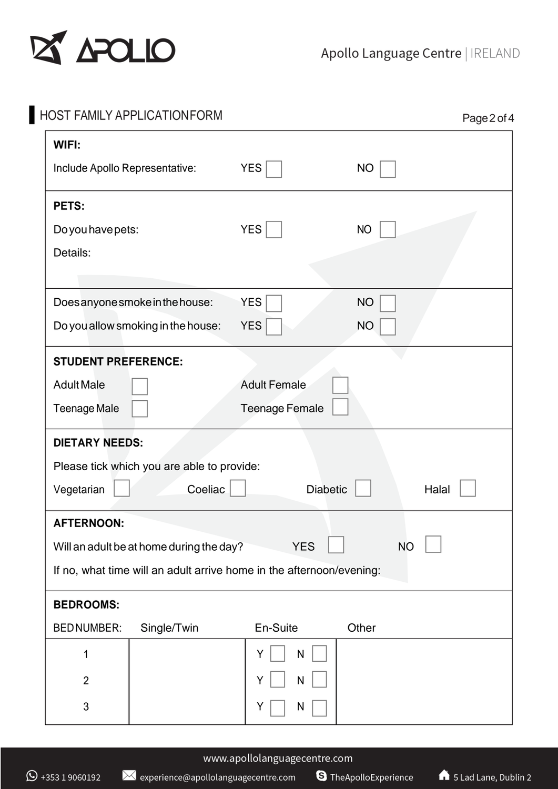

| WIFI:                                             |                                                                      |                       |           |
|---------------------------------------------------|----------------------------------------------------------------------|-----------------------|-----------|
| Include Apollo Representative:                    |                                                                      | <b>YES</b>            | <b>NO</b> |
| PETS:                                             |                                                                      |                       |           |
| Do you have pets:                                 |                                                                      | <b>YES</b>            | <b>NO</b> |
| Details:                                          |                                                                      |                       |           |
|                                                   | Doesanyone smoke in the house:                                       | <b>YES</b>            | <b>NO</b> |
|                                                   | Do you allow smoking in the house:                                   | <b>YES</b>            | <b>NO</b> |
| <b>STUDENT PREFERENCE:</b>                        |                                                                      |                       |           |
| <b>Adult Male</b>                                 |                                                                      | <b>Adult Female</b>   |           |
| Teenage Male                                      |                                                                      | <b>Teenage Female</b> |           |
| <b>DIETARY NEEDS:</b>                             |                                                                      |                       |           |
|                                                   |                                                                      |                       |           |
|                                                   | Please tick which you are able to provide:                           |                       |           |
|                                                   | Coeliac                                                              | <b>Diabetic</b>       | Halal     |
| <b>AFTERNOON:</b>                                 |                                                                      |                       |           |
|                                                   | Will an adult be at home during the day?                             | <b>YES</b>            | <b>NO</b> |
|                                                   | If no, what time will an adult arrive home in the afternoon/evening: |                       |           |
| <b>BEDROOMS:</b>                                  |                                                                      |                       |           |
|                                                   | Single/Twin                                                          | En-Suite              | Other     |
| 1                                                 |                                                                      | Υ<br>N                |           |
| Vegetarian<br><b>BEDNUMBER:</b><br>$\overline{2}$ |                                                                      | N                     |           |

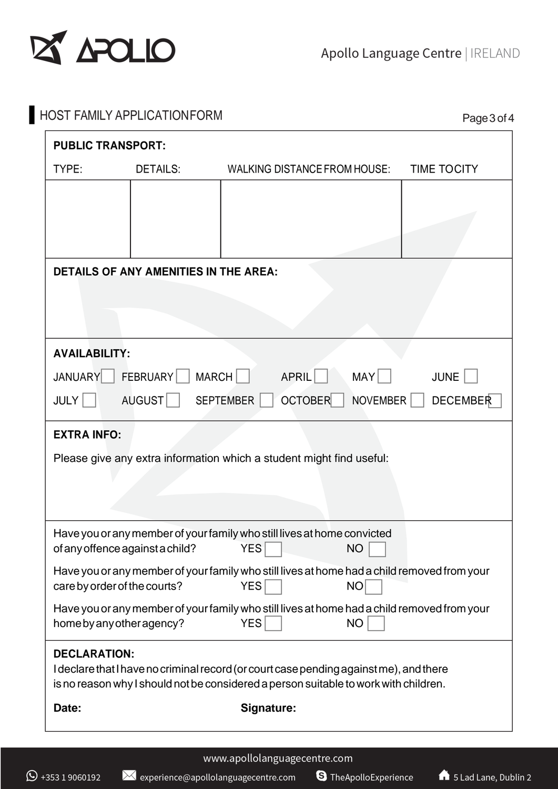

| TYPE:<br><b>DETAILS:</b><br>WALKING DISTANCE FROM HOUSE:<br><b>TIME TOCITY</b><br><b>DETAILS OF ANY AMENITIES IN THE AREA:</b><br><b>AVAILABILITY:</b><br>MARCH <sup>I</sup><br>FEBRUARY<br>MAY<br>APRIL<br><b>JANUARY</b><br><b>JUNE</b><br>OCTOBER <sup>1</sup><br>AUGUST<br>SEPTEMBER  <br>NOVEMBER<br>$JULY$    <br><b>EXTRA INFO:</b><br>Please give any extra information which a student might find useful:<br>Have you or any member of your family who still lives at home convicted<br><b>YES</b><br>of any offence against a child?<br><b>NO</b><br>Have you or any member of your family who still lives at home had a child removed from your<br><b>YES</b><br><b>NO</b><br>care by order of the courts?<br>Have you or any member of your family who still lives at home had a child removed from your<br><b>YES</b><br><b>NO</b><br>home by any other agency?<br><b>DECLARATION:</b><br>I declare that I have no criminal record (or court case pending against me), and there<br>is no reason why I should not be considered a person suitable to work with children.<br>Signature:<br>Date: | <b>PUBLIC TRANSPORT:</b> |                 |
|--------------------------------------------------------------------------------------------------------------------------------------------------------------------------------------------------------------------------------------------------------------------------------------------------------------------------------------------------------------------------------------------------------------------------------------------------------------------------------------------------------------------------------------------------------------------------------------------------------------------------------------------------------------------------------------------------------------------------------------------------------------------------------------------------------------------------------------------------------------------------------------------------------------------------------------------------------------------------------------------------------------------------------------------------------------------------------------------------------------|--------------------------|-----------------|
|                                                                                                                                                                                                                                                                                                                                                                                                                                                                                                                                                                                                                                                                                                                                                                                                                                                                                                                                                                                                                                                                                                              |                          |                 |
|                                                                                                                                                                                                                                                                                                                                                                                                                                                                                                                                                                                                                                                                                                                                                                                                                                                                                                                                                                                                                                                                                                              |                          |                 |
|                                                                                                                                                                                                                                                                                                                                                                                                                                                                                                                                                                                                                                                                                                                                                                                                                                                                                                                                                                                                                                                                                                              |                          |                 |
|                                                                                                                                                                                                                                                                                                                                                                                                                                                                                                                                                                                                                                                                                                                                                                                                                                                                                                                                                                                                                                                                                                              |                          |                 |
|                                                                                                                                                                                                                                                                                                                                                                                                                                                                                                                                                                                                                                                                                                                                                                                                                                                                                                                                                                                                                                                                                                              |                          |                 |
|                                                                                                                                                                                                                                                                                                                                                                                                                                                                                                                                                                                                                                                                                                                                                                                                                                                                                                                                                                                                                                                                                                              |                          |                 |
|                                                                                                                                                                                                                                                                                                                                                                                                                                                                                                                                                                                                                                                                                                                                                                                                                                                                                                                                                                                                                                                                                                              |                          |                 |
|                                                                                                                                                                                                                                                                                                                                                                                                                                                                                                                                                                                                                                                                                                                                                                                                                                                                                                                                                                                                                                                                                                              |                          |                 |
|                                                                                                                                                                                                                                                                                                                                                                                                                                                                                                                                                                                                                                                                                                                                                                                                                                                                                                                                                                                                                                                                                                              |                          |                 |
|                                                                                                                                                                                                                                                                                                                                                                                                                                                                                                                                                                                                                                                                                                                                                                                                                                                                                                                                                                                                                                                                                                              |                          |                 |
|                                                                                                                                                                                                                                                                                                                                                                                                                                                                                                                                                                                                                                                                                                                                                                                                                                                                                                                                                                                                                                                                                                              |                          | <b>DECEMBER</b> |
|                                                                                                                                                                                                                                                                                                                                                                                                                                                                                                                                                                                                                                                                                                                                                                                                                                                                                                                                                                                                                                                                                                              |                          |                 |
|                                                                                                                                                                                                                                                                                                                                                                                                                                                                                                                                                                                                                                                                                                                                                                                                                                                                                                                                                                                                                                                                                                              |                          |                 |
|                                                                                                                                                                                                                                                                                                                                                                                                                                                                                                                                                                                                                                                                                                                                                                                                                                                                                                                                                                                                                                                                                                              |                          |                 |
|                                                                                                                                                                                                                                                                                                                                                                                                                                                                                                                                                                                                                                                                                                                                                                                                                                                                                                                                                                                                                                                                                                              |                          |                 |
|                                                                                                                                                                                                                                                                                                                                                                                                                                                                                                                                                                                                                                                                                                                                                                                                                                                                                                                                                                                                                                                                                                              |                          |                 |
|                                                                                                                                                                                                                                                                                                                                                                                                                                                                                                                                                                                                                                                                                                                                                                                                                                                                                                                                                                                                                                                                                                              |                          |                 |
|                                                                                                                                                                                                                                                                                                                                                                                                                                                                                                                                                                                                                                                                                                                                                                                                                                                                                                                                                                                                                                                                                                              |                          |                 |
|                                                                                                                                                                                                                                                                                                                                                                                                                                                                                                                                                                                                                                                                                                                                                                                                                                                                                                                                                                                                                                                                                                              |                          |                 |
|                                                                                                                                                                                                                                                                                                                                                                                                                                                                                                                                                                                                                                                                                                                                                                                                                                                                                                                                                                                                                                                                                                              |                          |                 |
|                                                                                                                                                                                                                                                                                                                                                                                                                                                                                                                                                                                                                                                                                                                                                                                                                                                                                                                                                                                                                                                                                                              |                          |                 |
|                                                                                                                                                                                                                                                                                                                                                                                                                                                                                                                                                                                                                                                                                                                                                                                                                                                                                                                                                                                                                                                                                                              |                          |                 |
|                                                                                                                                                                                                                                                                                                                                                                                                                                                                                                                                                                                                                                                                                                                                                                                                                                                                                                                                                                                                                                                                                                              |                          |                 |
|                                                                                                                                                                                                                                                                                                                                                                                                                                                                                                                                                                                                                                                                                                                                                                                                                                                                                                                                                                                                                                                                                                              |                          |                 |
|                                                                                                                                                                                                                                                                                                                                                                                                                                                                                                                                                                                                                                                                                                                                                                                                                                                                                                                                                                                                                                                                                                              |                          |                 |
|                                                                                                                                                                                                                                                                                                                                                                                                                                                                                                                                                                                                                                                                                                                                                                                                                                                                                                                                                                                                                                                                                                              |                          |                 |

S TheApolloExperience